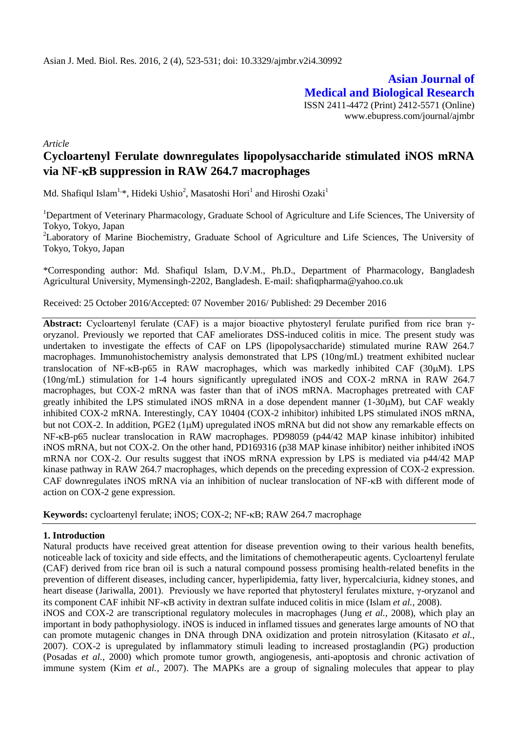**Asian Journal of Medical and Biological Research** ISSN 2411-4472 (Print) 2412-5571 (Online) www.ebupress.com/journal/ajmbr

*Article*

# **Cycloartenyl Ferulate downregulates lipopolysaccharide stimulated iNOS mRNA via NF-B suppression in RAW 264.7 macrophages**

Md. Shafiqul Islam<sup>1,\*</sup>, Hideki Ushio<sup>2</sup>, Masatoshi Hori<sup>1</sup> and Hiroshi Ozaki<sup>1</sup>

<sup>1</sup>Department of Veterinary Pharmacology, Graduate School of Agriculture and Life Sciences, The University of Tokyo, Tokyo, Japan

<sup>2</sup>Laboratory of Marine Biochemistry, Graduate School of Agriculture and Life Sciences, The University of Tokyo, Tokyo, Japan

\*Corresponding author: Md. Shafiqul Islam, D.V.M., Ph.D., Department of Pharmacology, Bangladesh Agricultural University, Mymensingh-2202, Bangladesh. E-mail: [shafiqpharma@yahoo.co.uk](mailto:shafiqpharma@yahoo.co.uk)

Received: 25 October 2016/Accepted: 07 November 2016/ Published: 29 December 2016

**Abstract:** Cycloartenyl ferulate (CAF) is a major bioactive phytosteryl ferulate purified from rice bran γoryzanol. Previously we reported that CAF ameliorates DSS-induced colitis in mice. The present study was undertaken to investigate the effects of CAF on LPS (lipopolysaccharide) stimulated murine RAW 264.7 macrophages. Immunohistochemistry analysis demonstrated that LPS (10ng/mL) treatment exhibited nuclear translocation of NF- $\kappa$ B-p65 in RAW macrophages, which was markedly inhibited CAF (30 $\mu$ M). LPS (10ng/mL) stimulation for 1-4 hours significantly upregulated iNOS and COX-2 mRNA in RAW 264.7 macrophages, but COX-2 mRNA was faster than that of iNOS mRNA. Macrophages pretreated with CAF greatly inhibited the LPS stimulated iNOS mRNA in a dose dependent manner  $(1-30\mu M)$ , but CAF weakly inhibited COX-2 mRNA. Interestingly, CAY 10404 (COX-2 inhibitor) inhibited LPS stimulated iNOS mRNA, but not COX-2. In addition, PGE2 (1µM) upregulated iNOS mRNA but did not show any remarkable effects on NF- $\kappa$ B-p65 nuclear translocation in RAW macrophages. PD98059 (p44/42 MAP kinase inhibitor) inhibited iNOS mRNA, but not COX-2. On the other hand, PD169316 (p38 MAP kinase inhibitor) neither inhibited iNOS mRNA nor COX-2. Our results suggest that iNOS mRNA expression by LPS is mediated via p44/42 MAP kinase pathway in RAW 264.7 macrophages, which depends on the preceding expression of COX-2 expression. CAF downregulates iNOS mRNA via an inhibition of nuclear translocation of NF- $\kappa$ B with different mode of action on COX-2 gene expression.

Keywords: cycloartenyl ferulate; iNOS; COX-2; NF-KB; RAW 264.7 macrophage

#### **1. Introduction**

Natural products have received great attention for disease prevention owing to their various health benefits, noticeable lack of toxicity and side effects, and the limitations of chemotherapeutic agents. Cycloartenyl ferulate (CAF) derived from rice bran oil is such a natural compound possess promising health-related benefits in the prevention of different diseases, including cancer, hyperlipidemia, fatty liver, hypercalciuria, kidney stones, and heart disease [\(Jariwalla, 2001\)](#page-7-0). Previously we have reported that phytosteryl ferulates mixture, γ-oryzanol and its component CAF inhibit NF- $\kappa$ B activity in dextran sulfate induced colitis in mice (Islam *et al.*[, 2008\)](#page-7-1).

iNOS and COX-2 are transcriptional regulatory molecules in macrophages (Jung *et al.*[, 2008\)](#page-7-2), which play an important in body pathophysiology. iNOS is induced in inflamed tissues and generates large amounts of NO that can promote mutagenic changes in DNA through DNA oxidization and protein nitrosylation [\(Kitasato](#page-8-0) *et al.*, [2007\)](#page-8-0). COX-2 is upregulated by inflammatory stimuli leading to increased prostaglandin (PG) production [\(Posadas](#page-8-1) *et al.*, 2000) which promote tumor growth, angiogenesis, anti-apoptosis and chronic activation of immune system (Kim *et al.*[, 2007\)](#page-7-3). The MAPKs are a group of signaling molecules that appear to play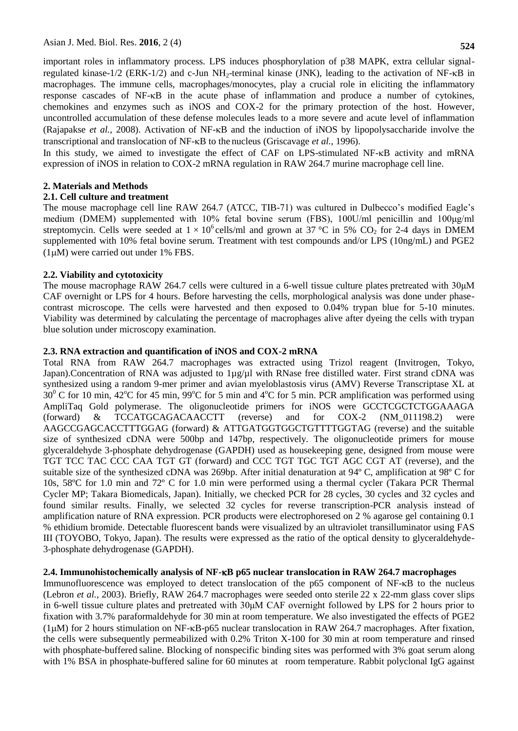**524**

important roles in inflammatory process. LPS induces phosphorylation of p38 MAPK, extra cellular signalregulated kinase-1/2 (ERK-1/2) and c-Jun NH<sub>2</sub>-terminal kinase (JNK), leading to the activation of NF- $\kappa$ B in macrophages. The immune cells, macrophages/monocytes, play a crucial role in eliciting the inflammatory response cascades of NF- $\kappa$ B in the acute phase of inflammation and produce a number of cytokines, chemokines and enzymes such as iNOS and COX-2 for the primary protection of the host. However, uncontrolled accumulation of these defense molecules leads to a more severe and acute level of inflammation [\(Rajapakse](#page-8-2) *et al.*, 2008). Activation of NF-B and the induction of iNOS by lipopolysaccharide involve the transcriptional and translocation of NF- $\kappa$ B to the nucleus [\(Griscavage](#page-7-4) *et al.*, 1996).

In this study, we aimed to investigate the effect of CAF on LPS-stimulated NF- $\kappa$ B activity and mRNA expression of iNOS in relation to COX-2 mRNA regulation in RAW 264.7 murine macrophage cell line.

# **2. Materials and Methods**

# **2.1. Cell culture and treatment**

The mouse macrophage cell line RAW 264.7 (ATCC, TIB-71) was cultured in Dulbecco's modified Eagle's medium (DMEM) supplemented with 10% fetal bovine serum (FBS), 100U/ml penicillin and 100μg/ml streptomycin. Cells were seeded at  $1 \times 10^6$  cells/ml and grown at 37 °C in 5% CO<sub>2</sub> for 2-4 days in DMEM supplemented with 10% fetal bovine serum. Treatment with test compounds and/or LPS (10ng/mL) and PGE2  $(1\mu M)$  were carried out under 1% FBS.

# **2.2. Viability and cytotoxicity**

The mouse macrophage RAW 264.7 cells were cultured in a 6-well tissue culture plates pretreated with 30μM CAF overnight or LPS for 4 hours. Before harvesting the cells, morphological analysis was done under phasecontrast microscope. The cells were harvested and then exposed to 0.04% trypan blue for 5-10 minutes. Viability was determined by calculating the percentage of macrophages alive after dyeing the cells with trypan blue solution under microscopy examination.

# **2.3. RNA extraction and quantification of iNOS and COX-2 mRNA**

Total RNA from RAW 264.7 macrophages was extracted using Trizol reagent (Invitrogen, Tokyo, Japan).Concentration of RNA was adjusted to 1µg/µl with RNase free distilled water. First strand cDNA was synthesized using a random 9-mer primer and avian myeloblastosis virus (AMV) Reverse Transcriptase XL at  $30^{\circ}$  C for 10 min, 42<sup>o</sup>C for 45 min, 99<sup>o</sup>C for 5 min and 4<sup>o</sup>C for 5 min. PCR amplification was performed using AmpliTaq Gold polymerase. The oligonucleotide primers for iNOS were GCCTCGCTCTGGAAAGA (forward) & TCCATGCAGACAACCTT (reverse) and for COX-2 (NM\_011198.2) were AAGCCGAGCACCTTTGGAG (forward) & ATTGATGGTGGCTGTTTTGGTAG (reverse) and the suitable size of synthesized cDNA were 500bp and 147bp, respectively. The oligonucleotide primers for mouse glyceraldehyde 3-phosphate dehydrogenase (GAPDH) used as housekeeping gene, designed from mouse were TGT TCC TAC CCC CAA TGT GT (forward) and CCC TGT TGC TGT AGC CGT AT (reverse), and the suitable size of the synthesized cDNA was 269bp. After initial denaturation at 94º C, amplification at 98º C for 10s, 58ºC for 1.0 min and 72º C for 1.0 min were performed using a thermal cycler (Takara PCR Thermal Cycler MP; Takara Biomedicals, Japan). Initially, we checked PCR for 28 cycles, 30 cycles and 32 cycles and found similar results. Finally, we selected 32 cycles for reverse transcription-PCR analysis instead of amplification nature of RNA expression. PCR products were electrophoresed on 2 % agarose gel containing 0.1 % ethidium bromide. Detectable fluorescent bands were visualized by an ultraviolet transilluminator using FAS III (TOYOBO, Tokyo, Japan). The results were expressed as the ratio of the optical density to glyceraldehyde-3-phosphate dehydrogenase (GAPDH).

# **2.4. Immunohistochemically analysis of NF-B p65 nuclear translocation in RAW 264.7 macrophages**

Immunofluorescence was employed to detect translocation of the p65 component of NF- $\kappa$ B to the nucleus [\(Lebron](#page-8-3) *et al.*, 2003). Briefly, RAW 264.7 macrophages were seeded onto sterile 22 x 22-mm glass cover slips in 6-well tissue culture plates and pretreated with 30μM CAF overnight followed by LPS for 2 hours prior to fixation with 3.7% paraformaldehyde for 30 min at room temperature. We also investigated the effects of PGE2  $(1\mu)$  for 2 hours stimulation on NF- $\kappa$ B-p65 nuclear translocation in RAW 264.7 macrophages. After fixation, the cells were subsequently permeabilized with 0.2% Triton X-100 for 30 min at room temperature and rinsed with phosphate-buffered saline. Blocking of nonspecific binding sites was performed with 3% goat serum along with 1% BSA in phosphate-buffered saline for 60 minutes at room temperature. Rabbit polyclonal IgG against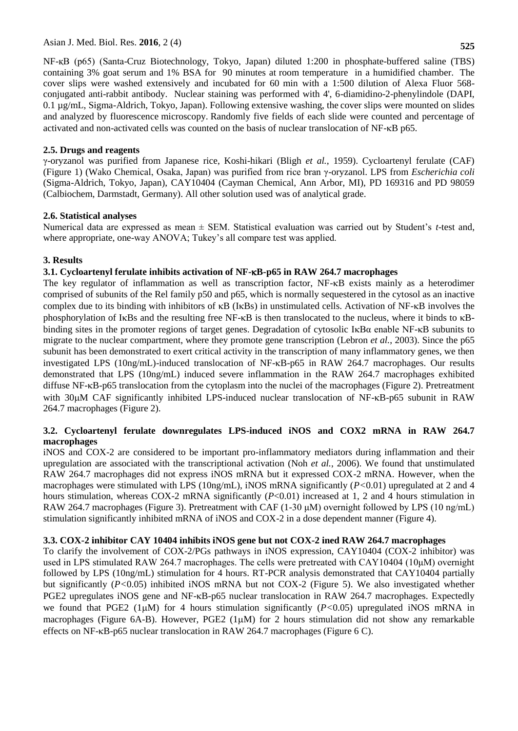NF-қB (p65) (Santa-Cruz Biotechnology, Tokyo, Japan) diluted 1:200 in phosphate-buffered saline (TBS) containing 3% goat serum and 1% BSA for 90 minutes at room temperature in a humidified chamber. The cover slips were washed extensively and incubated for 60 min with a 1:500 dilution of Alexa Fluor 568 conjugated anti-rabbit antibody. Nuclear staining was performed with 4', 6-diamidino-2-phenylindole (DAPI, 0.1 µg/mL, Sigma-Aldrich, Tokyo, Japan). Following extensive washing, the cover slips were mounted on slides and analyzed by fluorescence microscopy. Randomly five fields of each slide were counted and percentage of activated and non-activated cells was counted on the basis of nuclear translocation of NF-KB p65.

# **2.5. Drugs and reagents**

γ-oryzanol was purified from Japanese rice, Koshi-hikari (Bligh *et al.*[, 1959\)](#page-7-5). Cycloartenyl ferulate (CAF) (Figure 1) (Wako Chemical, Osaka, Japan) was purified from rice bran γ-oryzanol. LPS from *Escherichia coli* (Sigma-Aldrich, Tokyo, Japan), CAY10404 (Cayman Chemical, Ann Arbor, MI), PD 169316 and PD 98059 (Calbiochem, Darmstadt, Germany). All other solution used was of analytical grade.

# **2.6. Statistical analyses**

Numerical data are expressed as mean ± SEM. Statistical evaluation was carried out by Student's *t*-test and, where appropriate, one-way ANOVA; Tukey's all compare test was applied.

# **3. Results**

# **3.1. Cycloartenyl ferulate inhibits activation of NF-B-p65 in RAW 264.7 macrophages**

The key regulator of inflammation as well as transcription factor,  $NF- $\kappa$ B$  exists mainly as a heterodimer comprised of subunits of the Rel family p50 and p65, which is normally sequestered in the cytosol as an inactive complex due to its binding with inhibitors of  $\kappa$ B (I $\kappa$ Bs) in unstimulated cells. Activation of NF- $\kappa$ B involves the phosphorylation of IKBs and the resulting free NF-KB is then translocated to the nucleus, where it binds to KBbinding sites in the promoter regions of target genes. Degradation of cytosolic I $\kappa$ B $\alpha$  enable NF- $\kappa$ B subunits to migrate to the nuclear compartment, where they promote gene transcription [\(Lebron](#page-8-3) *et al.*, 2003). Since the p65 subunit has been demonstrated to exert critical activity in the transcription of many inflammatory genes, we then investigated LPS  $(10ng/mL)$ -induced translocation of NF- $\kappa$ B-p65 in RAW 264.7 macrophages. Our results demonstrated that LPS (10ng/mL) induced severe inflammation in the RAW 264.7 macrophages exhibited diffuse NF- $\kappa$ B-p65 translocation from the cytoplasm into the nuclei of the macrophages (Figure 2). Pretreatment with  $30\mu$ M CAF significantly inhibited LPS-induced nuclear translocation of NF- $\kappa$ B-p65 subunit in RAW 264.7 macrophages (Figure 2).

# **3.2. Cycloartenyl ferulate downregulates LPS-induced iNOS and COX2 mRNA in RAW 264.7 macrophages**

iNOS and COX-2 are considered to be important pro-inflammatory mediators during inflammation and their upregulation are associated with the transcriptional activation (Noh *et al.*[, 2006\)](#page-8-4). We found that unstimulated RAW 264.7 macrophages did not express iNOS mRNA but it expressed COX-2 mRNA. However, when the macrophages were stimulated with LPS (10ng/mL), iNOS mRNA significantly (*P<*0.01) upregulated at 2 and 4 hours stimulation, whereas COX-2 mRNA significantly (*P*<0.01) increased at 1, 2 and 4 hours stimulation in RAW 264.7 macrophages (Figure 3). Pretreatment with CAF (1-30 μM) overnight followed by LPS (10 ng/mL) stimulation significantly inhibited mRNA of iNOS and COX-2 in a dose dependent manner (Figure 4).

# **3.3. COX-2 inhibitor CAY 10404 inhibits iNOS gene but not COX-2 ined RAW 264.7 macrophages**

To clarify the involvement of COX-2/PGs pathways in iNOS expression, CAY10404 (COX-2 inhibitor) was used in LPS stimulated RAW 264.7 macrophages. The cells were pretreated with CAY10404 (10μM) overnight followed by LPS (10ng/mL) stimulation for 4 hours. RT-PCR analysis demonstrated that CAY10404 partially but significantly (*P<*0.05) inhibited iNOS mRNA but not COX-2 (Figure 5). We also investigated whether PGE2 upregulates iNOS gene and NF- $\kappa$ B-p65 nuclear translocation in RAW 264.7 macrophages. Expectedly we found that PGE2 ( $1\mu$ M) for 4 hours stimulation significantly ( $P < 0.05$ ) upregulated iNOS mRNA in macrophages (Figure 6A-B). However, PGE2  $(1\mu M)$  for 2 hours stimulation did not show any remarkable effects on NF-kB-p65 nuclear translocation in RAW 264.7 macrophages (Figure 6 C).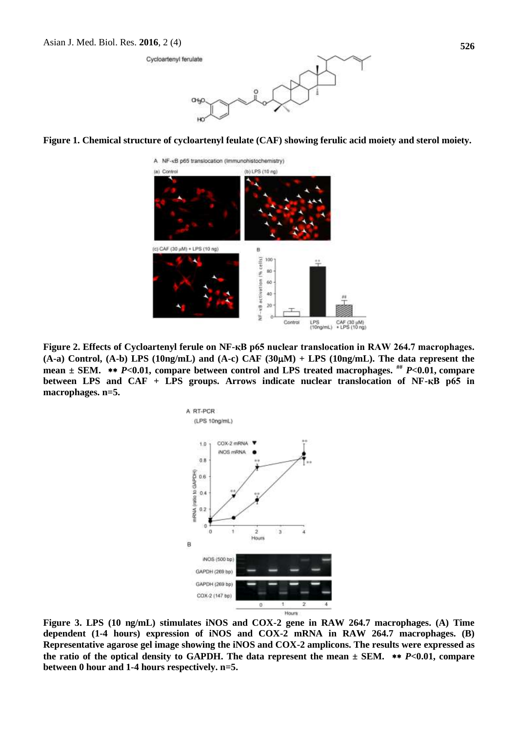



A NF-xB p65 translocation (Immunohistochemistry) (a) Control (b) LPS (10 $ng$ ) (c) CAF (30 µM) + LPS (10 ng)  $\overline{B}$ cellsi 100 80 ť activation 60 40  $20$  $NF - vB$ Control LPS CAF (30 µM)<br>(10ng/mL) + LPS (10 ng)

**Figure 2. Effects of Cycloartenyl ferule on NF-қB p65 nuclear translocation in RAW 264.7 macrophages. (A-a) Control, (A-b) LPS (10ng/mL) and (A-c) CAF (30M) + LPS (10ng/mL). The data represent the mean ± SEM.**  *P***<0.01, compare between control and LPS treated macrophages. ##** *P***<0.01, compare**  between LPS and CAF + LPS groups. Arrows indicate nuclear translocation of NF-қB p65 in **macrophages. n=5.**



**Figure 3. LPS (10 ng/mL) stimulates iNOS and COX-2 gene in RAW 264.7 macrophages. (A) Time dependent (1-4 hours) expression of iNOS and COX-2 mRNA in RAW 264.7 macrophages. (B) Representative agarose gel image showing the iNOS and COX-2 amplicons. The results were expressed as**  the ratio of the optical density to GAPDH. The data represent the mean  $\pm$  SEM.  $**$  *P*<0.01, compare **between 0 hour and 1-4 hours respectively. n=5.**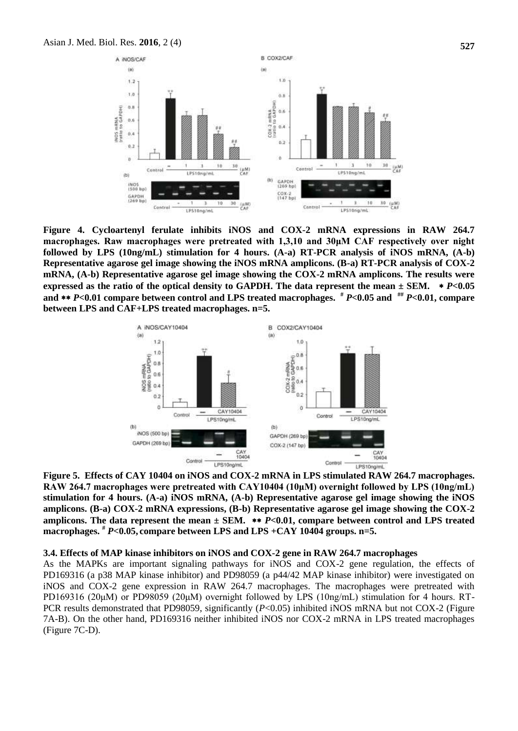

**Figure 4. Cycloartenyl ferulate inhibits iNOS and COX-2 mRNA expressions in RAW 264.7 macrophages. Raw macrophages were pretreated with 1,3,10 and 30μM CAF respectively over night followed by LPS (10ng/mL) stimulation for 4 hours. (A-a) RT-PCR analysis of iNOS mRNA, (A-b) Representative agarose gel image showing the iNOS mRNA amplicons. (B-a) RT-PCR analysis of COX-2 mRNA, (A-b) Representative agarose gel image showing the COX-2 mRNA amplicons. The results were expressed as the ratio of the optical density to GAPDH. The data represent the mean**  $\pm$  **SEM.**  $\ast$ *P***<0.05 and**  *P***<0.01 compare between control and LPS treated macrophages. #** *P***<0.05 and ##** *P***<0.01, compare between LPS and CAF+LPS treated macrophages. n=5.**



**Figure 5. Effects of CAY 10404 on iNOS and COX-2 mRNA in LPS stimulated RAW 264.7 macrophages. RAW 264.7 macrophages were pretreated with CAY10404 (10μM) overnight followed by LPS (10ng/mL) stimulation for 4 hours. (A-a) iNOS mRNA, (A-b) Representative agarose gel image showing the iNOS amplicons. (B-a) COX-2 mRNA expressions, (B-b) Representative agarose gel image showing the COX-2**  amplicons. The data represent the mean  $\pm$  SEM.  $*$  *P*<0.01, compare between control and LPS treated **macrophages. #** *P***<0.05, compare between LPS and LPS +CAY 10404 groups. n=5.**

#### **3.4. Effects of MAP kinase inhibitors on iNOS and COX-2 gene in RAW 264.7 macrophages**

As the MAPKs are important signaling pathways for iNOS and COX-2 gene regulation, the effects of PD169316 (a p38 MAP kinase inhibitor) and PD98059 (a p44/42 MAP kinase inhibitor) were investigated on iNOS and COX-2 gene expression in RAW 264.7 macrophages. The macrophages were pretreated with PD169316 (20μM) or PD98059 (20μM) overnight followed by LPS (10ng/mL) stimulation for 4 hours. RT-PCR results demonstrated that PD98059, significantly ( $P<0.05$ ) inhibited iNOS mRNA but not COX-2 (Figure 7A-B). On the other hand, PD169316 neither inhibited iNOS nor COX-2 mRNA in LPS treated macrophages (Figure 7C-D).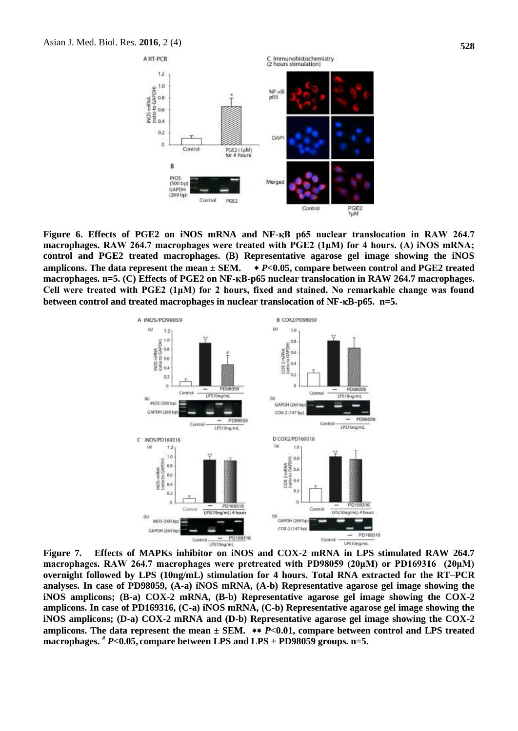

**Figure 6. Effects of PGE2 on iNOS mRNA and NF-қB p65 nuclear translocation in RAW 264.7 macrophages. RAW 264.7 macrophages were treated with PGE2 (1μM) for 4 hours. (A) iNOS mRNA; control and PGE2 treated macrophages. (B) Representative agarose gel image showing the iNOS amplicons. The data represent the mean ± SEM.**  *P***<0.05, compare between control and PGE2 treated macrophages. n=5. (C) Effects of PGE2 on NF-қB-p65 nuclear translocation in RAW 264.7 macrophages. Cell were treated with PGE2 (1μM) for 2 hours, fixed and stained. No remarkable change was found between control and treated macrophages in nuclear translocation of NF-B-p65. n=5.**



**Figure 7. Effects of MAPKs inhibitor on iNOS and COX-2 mRNA in LPS stimulated RAW 264.7 macrophages. RAW 264.7 macrophages were pretreated with PD98059 (20μM) or PD169316 (20μM) overnight followed by LPS (10ng/mL) stimulation for 4 hours. Total RNA extracted for the RT–PCR analyses. In case of PD98059, (A-a) iNOS mRNA, (A-b) Representative agarose gel image showing the iNOS amplicons; (B-a) COX-2 mRNA, (B-b) Representative agarose gel image showing the COX-2 amplicons. In case of PD169316, (C-a) iNOS mRNA, (C-b) Representative agarose gel image showing the iNOS amplicons; (D-a) COX-2 mRNA and (D-b) Representative agarose gel image showing the COX-2**  amplicons. The data represent the mean  $\pm$  SEM.  $**$  *P*<0.01, compare between control and LPS treated **macrophages. #** *P***<0.05, compare between LPS and LPS + PD98059 groups. n=5.**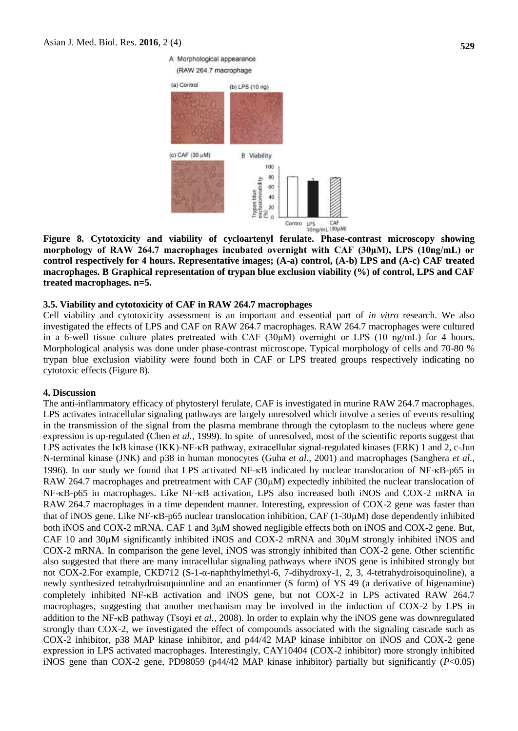

**Figure 8. Cytotoxicity and viability of cycloartenyl ferulate. Phase-contrast microscopy showing morphology of RAW 264.7 macrophages incubated overnight with CAF (30μM), LPS (10ng/mL) or control respectively for 4 hours. Representative images; (A-a) control, (A-b) LPS and (A-c) CAF treated macrophages. B Graphical representation of trypan blue exclusion viability (%) of control, LPS and CAF treated macrophages. n=5.** 

#### **3.5. Viability and cytotoxicity of CAF in RAW 264.7 macrophages**

Cell viability and cytotoxicity assessment is an important and essential part of *in vitro* research. We also investigated the effects of LPS and CAF on RAW 264.7 macrophages. RAW 264.7 macrophages were cultured in a 6-well tissue culture plates pretreated with CAF ( $30\mu$ M) overnight or LPS ( $10 \text{ ng/mL}$ ) for 4 hours. Morphological analysis was done under phase-contrast microscope. Typical morphology of cells and 70-80 % trypan blue exclusion viability were found both in CAF or LPS treated groups respectively indicating no cytotoxic effects (Figure 8).

#### **4. Discussion**

The anti-inflammatory efficacy of phytosteryl ferulate, CAF is investigated in murine RAW 264.7 macrophages. LPS activates intracellular signaling pathways are largely unresolved which involve a series of events resulting in the transmission of the signal from the plasma membrane through the cytoplasm to the nucleus where gene expression is up-regulated (Chen *et al.*[, 1999\)](#page-7-6). In spite of unresolved, most of the scientific reports suggest that LPS activates the IκB kinase (IKK)-NF-κB pathway, extracellular signal-regulated kinases (ERK) 1 and 2, c-Jun N-terminal kinase (JNK) and p38 in human monocytes (Guha *et al.*[, 2001\)](#page-7-7) and macrophages [\(Sanghera](#page-8-5) *et al.*, [1996\)](#page-8-5). In our study we found that LPS activated NF-KB indicated by nuclear translocation of NF-KB-p65 in RAW 264.7 macrophages and pretreatment with CAF  $(30\mu)$  expectedly inhibited the nuclear translocation of NF-KB-p65 in macrophages. Like NF-KB activation, LPS also increased both iNOS and COX-2 mRNA in RAW 264.7 macrophages in a time dependent manner. Interesting, expression of COX-2 gene was faster than that of iNOS gene. Like NF- $\kappa$ B-p65 nuclear translocation inhibition, CAF (1-30 $\mu$ M) dose dependently inhibited both iNOS and COX-2 mRNA. CAF 1 and 3M showed negligible effects both on iNOS and COX-2 gene. But, CAF 10 and 30 $\mu$ M significantly inhibited iNOS and COX-2 mRNA and 30 $\mu$ M strongly inhibited iNOS and COX-2 mRNA. In comparison the gene level, iNOS was strongly inhibited than COX-2 gene. Other scientific also suggested that there are many intracellular signaling pathways where iNOS gene is inhibited strongly but not COX-2.For example, CKD712 (S-1-α-naphthylmethyl-6, 7-dihydroxy-1, 2, 3, 4-tetrahydroisoquinoline), a newly synthesized tetrahydroisoquinoline and an enantiomer (S form) of YS 49 (a derivative of higenamine) completely inhibited NF-KB activation and iNOS gene, but not COX-2 in LPS activated RAW 264.7 macrophages, suggesting that another mechanism may be involved in the induction of COX-2 by LPS in addition to the NF-KB pathway (Tsoyi *et al.*[, 2008\)](#page-8-6). In order to explain why the iNOS gene was downregulated strongly than COX-2, we investigated the effect of compounds associated with the signaling cascade such as COX-2 inhibitor, p38 MAP kinase inhibitor, and p44/42 MAP kinase inhibitor on iNOS and COX-2 gene expression in LPS activated macrophages. Interestingly, CAY10404 (COX-2 inhibitor) more strongly inhibited iNOS gene than COX-2 gene, PD98059 (p44/42 MAP kinase inhibitor) partially but significantly (*P*<0.05)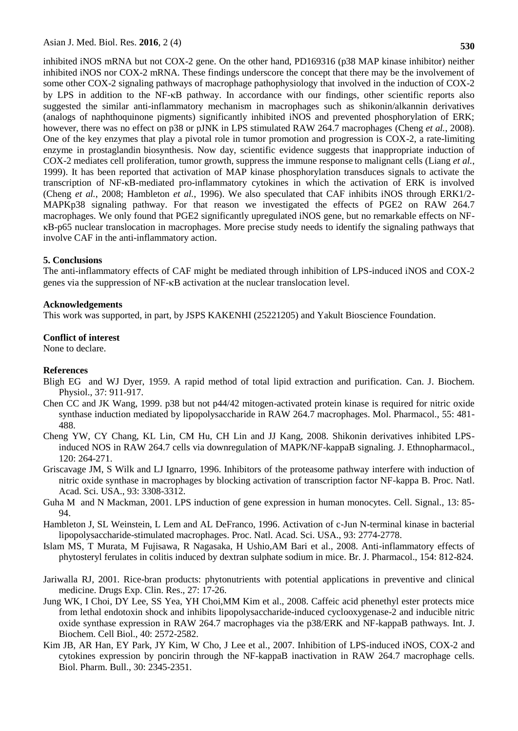inhibited iNOS mRNA but not COX-2 gene. On the other hand, PD169316 (p38 MAP kinase inhibitor) neither inhibited iNOS nor COX-2 mRNA. These findings underscore the concept that there may be the involvement of some other COX-2 signaling pathways of macrophage pathophysiology that involved in the induction of COX-2 by LPS in addition to the NF-kB pathway. In accordance with our findings, other scientific reports also suggested the similar anti-inflammatory mechanism in macrophages such as shikonin/alkannin derivatives (analogs of naphthoquinone pigments) significantly inhibited iNOS and prevented phosphorylation of ERK; however, there was no effect on p38 or pJNK in LPS stimulated RAW 264.7 macrophages [\(Cheng](#page-7-8) *et al.*, 2008). One of the key enzymes that play a pivotal role in tumor promotion and progression is COX-2, a rate-limiting enzyme in prostaglandin biosynthesis. Now day, scientific evidence suggests that inappropriate induction of COX-2 mediates cell proliferation, tumor growth, suppress the immune response to malignant cells [\(Liang](#page-8-7) *et al.*, [1999\)](#page-8-7). It has been reported that activation of MAP kinase phosphorylation transduces signals to activate the transcription of NF-κB-mediated pro-inflammatory cytokines in which the activation of ERK is involved [\(Cheng](#page-7-8) *et al.*, 2008; [Hambleton](#page-7-9) *et al.*, 1996). We also speculated that CAF inhibits iNOS through ERK1/2- MAPKp38 signaling pathway. For that reason we investigated the effects of PGE2 on RAW 264.7 macrophages. We only found that PGE2 significantly upregulated iNOS gene, but no remarkable effects on NFκB-p65 nuclear translocation in macrophages. More precise study needs to identify the signaling pathways that involve CAF in the anti-inflammatory action.

#### **5. Conclusions**

The anti-inflammatory effects of CAF might be mediated through inhibition of LPS-induced iNOS and COX-2 genes via the suppression of NF- $\kappa$ B activation at the nuclear translocation level.

#### **Acknowledgements**

This work was supported, in part, by JSPS KAKENHI (25221205) and Yakult Bioscience Foundation.

#### **Conflict of interest**

None to declare.

#### **References**

- <span id="page-7-5"></span>Bligh EG and WJ Dyer, 1959. A rapid method of total lipid extraction and purification. Can. J. Biochem. Physiol., 37: 911-917.
- <span id="page-7-6"></span>Chen CC and JK Wang, 1999. p38 but not p44/42 mitogen-activated protein kinase is required for nitric oxide synthase induction mediated by lipopolysaccharide in RAW 264.7 macrophages. Mol. Pharmacol., 55: 481- 488.
- <span id="page-7-8"></span>Cheng YW, CY Chang, KL Lin, CM Hu, CH Lin and JJ Kang, 2008. Shikonin derivatives inhibited LPSinduced NOS in RAW 264.7 cells via downregulation of MAPK/NF-kappaB signaling. J. Ethnopharmacol., 120: 264-271.
- <span id="page-7-4"></span>Griscavage JM, S Wilk and LJ Ignarro, 1996. Inhibitors of the proteasome pathway interfere with induction of nitric oxide synthase in macrophages by blocking activation of transcription factor NF-kappa B. Proc. Natl. Acad. Sci. USA., 93: 3308-3312.
- <span id="page-7-7"></span>Guha M and N Mackman, 2001. LPS induction of gene expression in human monocytes. Cell. Signal., 13: 85- 94.
- <span id="page-7-9"></span>Hambleton J, SL Weinstein, L Lem and AL DeFranco, 1996. Activation of c-Jun N-terminal kinase in bacterial lipopolysaccharide-stimulated macrophages. Proc. Natl. Acad. Sci. USA., 93: 2774-2778.
- <span id="page-7-1"></span>Islam MS, T Murata, M Fujisawa, R Nagasaka, H Ushio,AM Bari et al., 2008. Anti-inflammatory effects of phytosteryl ferulates in colitis induced by dextran sulphate sodium in mice. Br. J. Pharmacol., 154: 812-824.
- <span id="page-7-0"></span>Jariwalla RJ, 2001. Rice-bran products: phytonutrients with potential applications in preventive and clinical medicine. Drugs Exp. Clin. Res., 27: 17-26.
- <span id="page-7-2"></span>Jung WK, I Choi, DY Lee, SS Yea, YH Choi,MM Kim et al., 2008. Caffeic acid phenethyl ester protects mice from lethal endotoxin shock and inhibits lipopolysaccharide-induced cyclooxygenase-2 and inducible nitric oxide synthase expression in RAW 264.7 macrophages via the p38/ERK and NF-kappaB pathways. Int. J. Biochem. Cell Biol., 40: 2572-2582.
- <span id="page-7-3"></span>Kim JB, AR Han, EY Park, JY Kim, W Cho, J Lee et al., 2007. Inhibition of LPS-induced iNOS, COX-2 and cytokines expression by poncirin through the NF-kappaB inactivation in RAW 264.7 macrophage cells. Biol. Pharm. Bull., 30: 2345-2351.